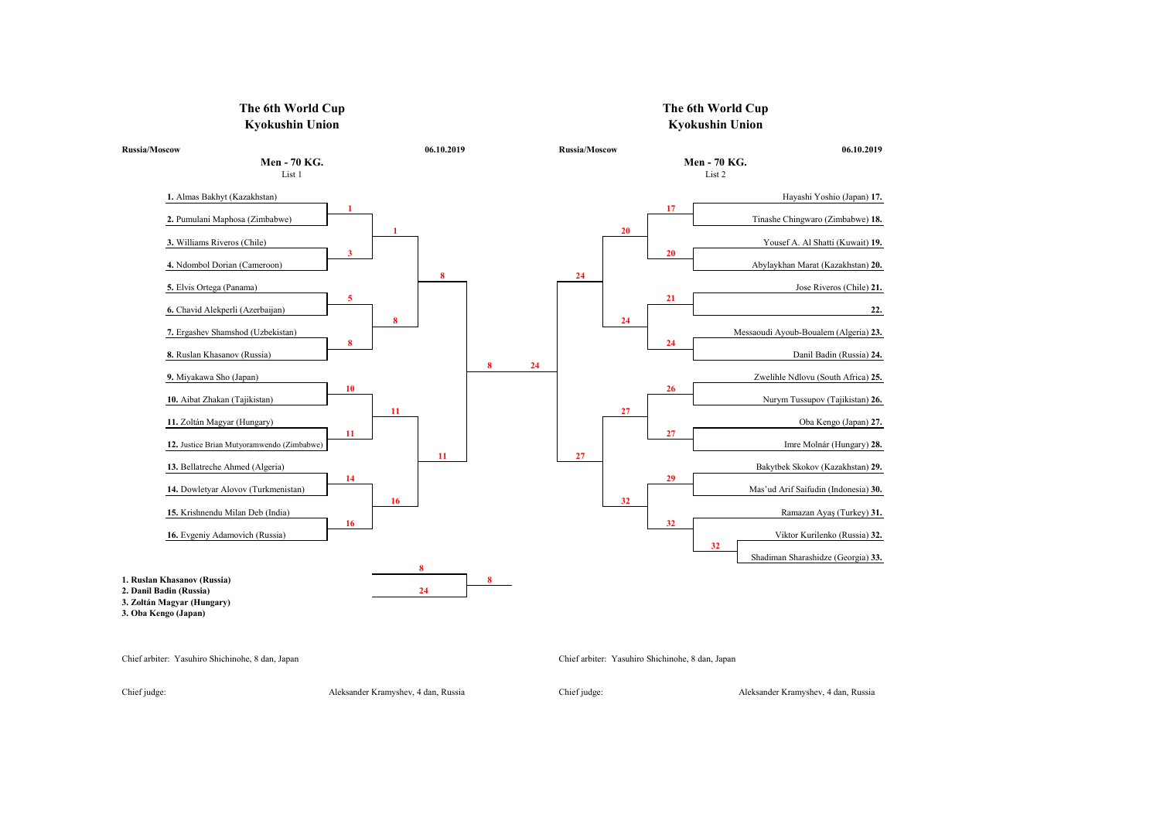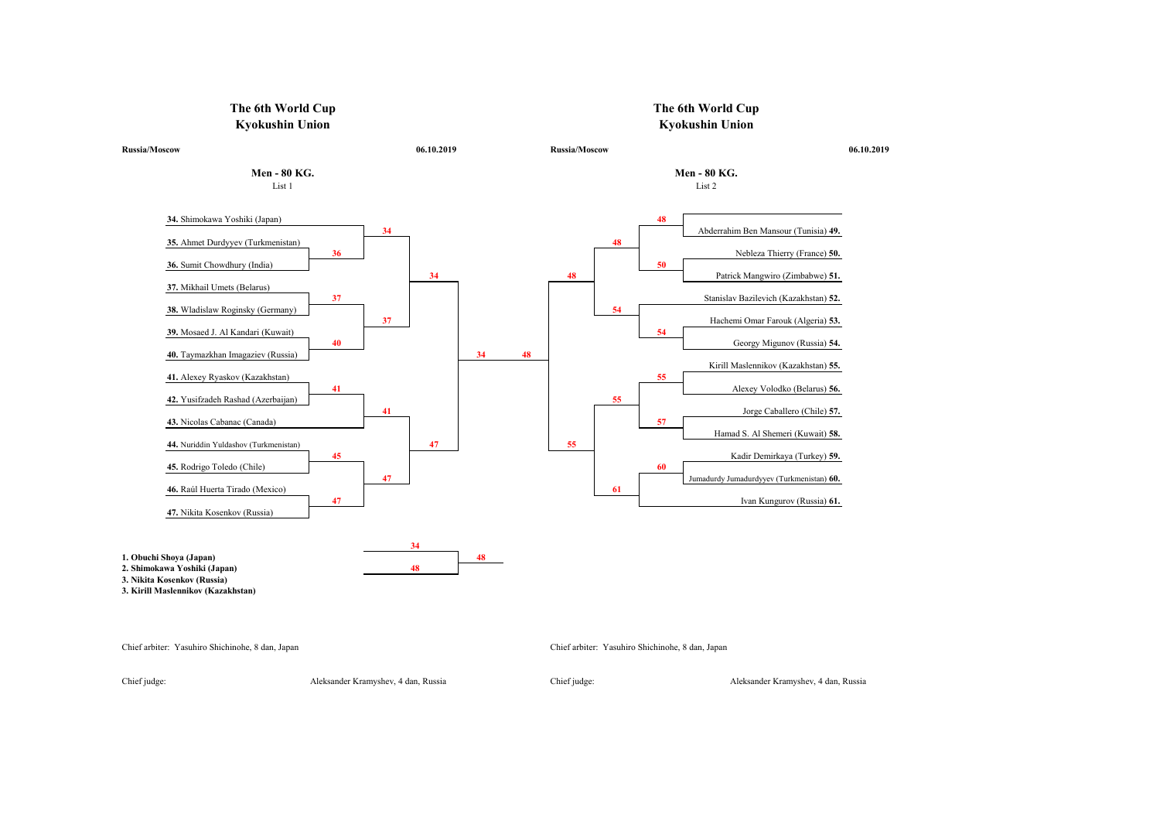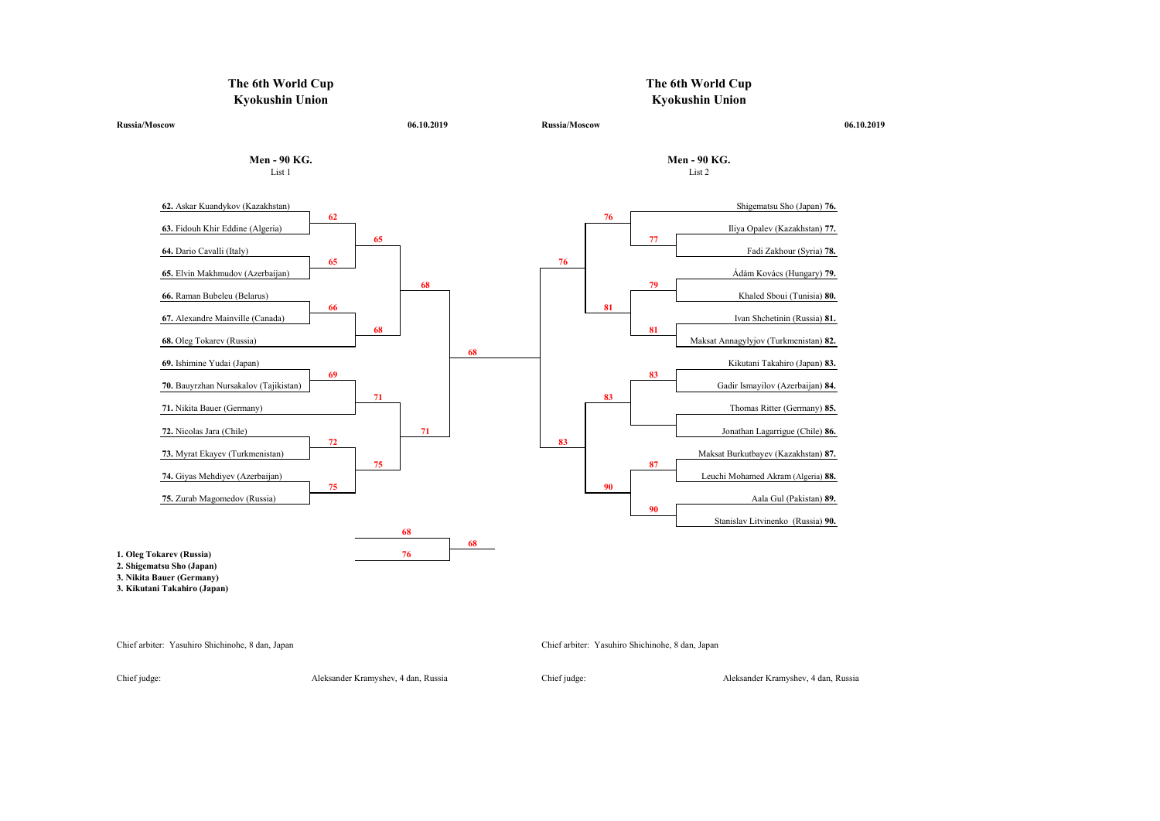

Chief judge: Aleksander Kramyshev, 4 dan, Russia Chief judge: Aleksander Kramyshev, 4 dan, Russia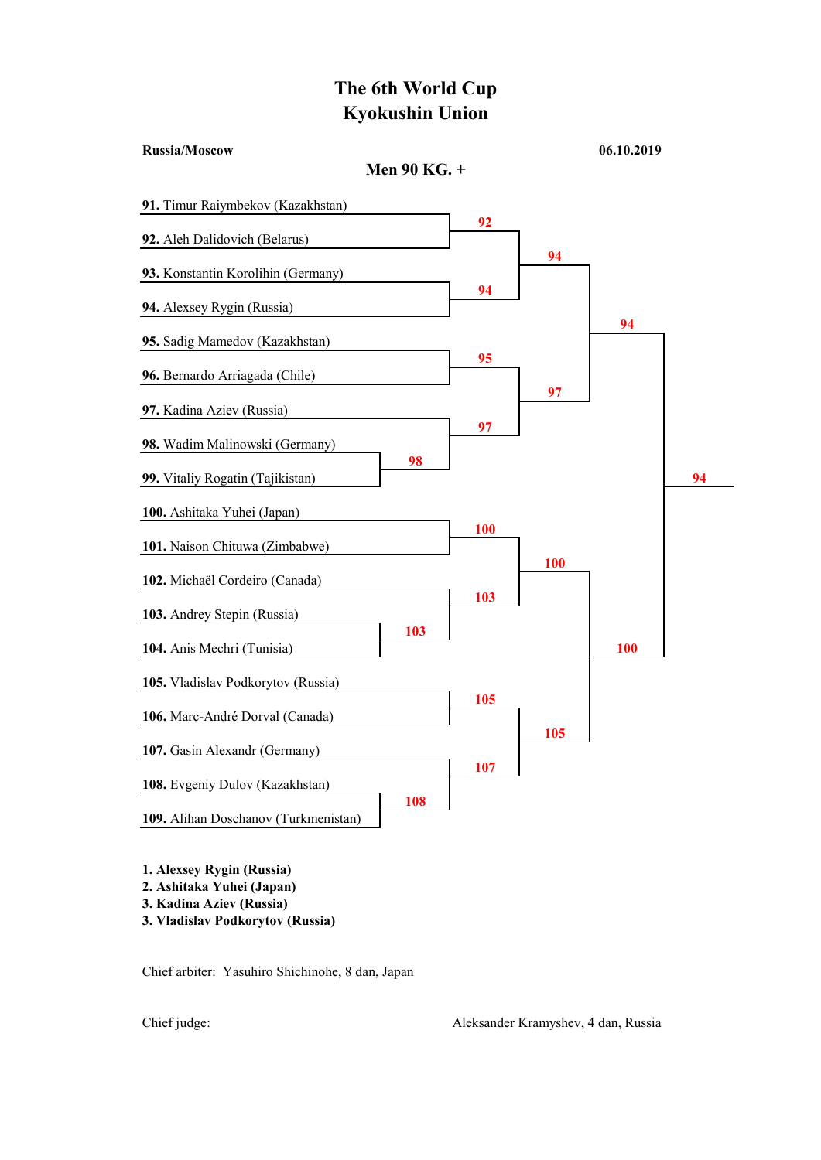Russia/Moscow 06.10.2019

## Men 90 KG. + 91. Timur Raiymbekov (Kazakhstan) 92 92. Aleh Dalidovich (Belarus) 94 93. Konstantin Korolihin (Germany) 94 94. Alexsey Rygin (Russia) 94 95. Sadig Mamedov (Kazakhstan) 95 96. Bernardo Arriagada (Chile) 97 97. Kadina Aziev (Russia) 97 98. Wadim Malinowski (Germany) 98 99. Vitaliy Rogatin (Tajikistan) 94 100. Ashitaka Yuhei (Japan) 100 101. Naison Chituwa (Zimbabwe) 100 102. Michaël Cordeiro (Canada) 103 103. Andrey Stepin (Russia) 103 104. Anis Mechri (Tunisia) 100 105. Vladislav Podkorytov (Russia) 105 106. Marc-André Dorval (Canada) 105 107. Gasin Alexandr (Germany) 107 108. Evgeniy Dulov (Kazakhstan) 108 109. Alihan Doschanov (Turkmenistan)

1. Alexsey Rygin (Russia)

- 2. Ashitaka Yuhei (Japan)
- 3. Kadina Aziev (Russia)
- 3. Vladislav Podkorytov (Russia)

Chief arbiter: Yasuhiro Shichinohe, 8 dan, Japan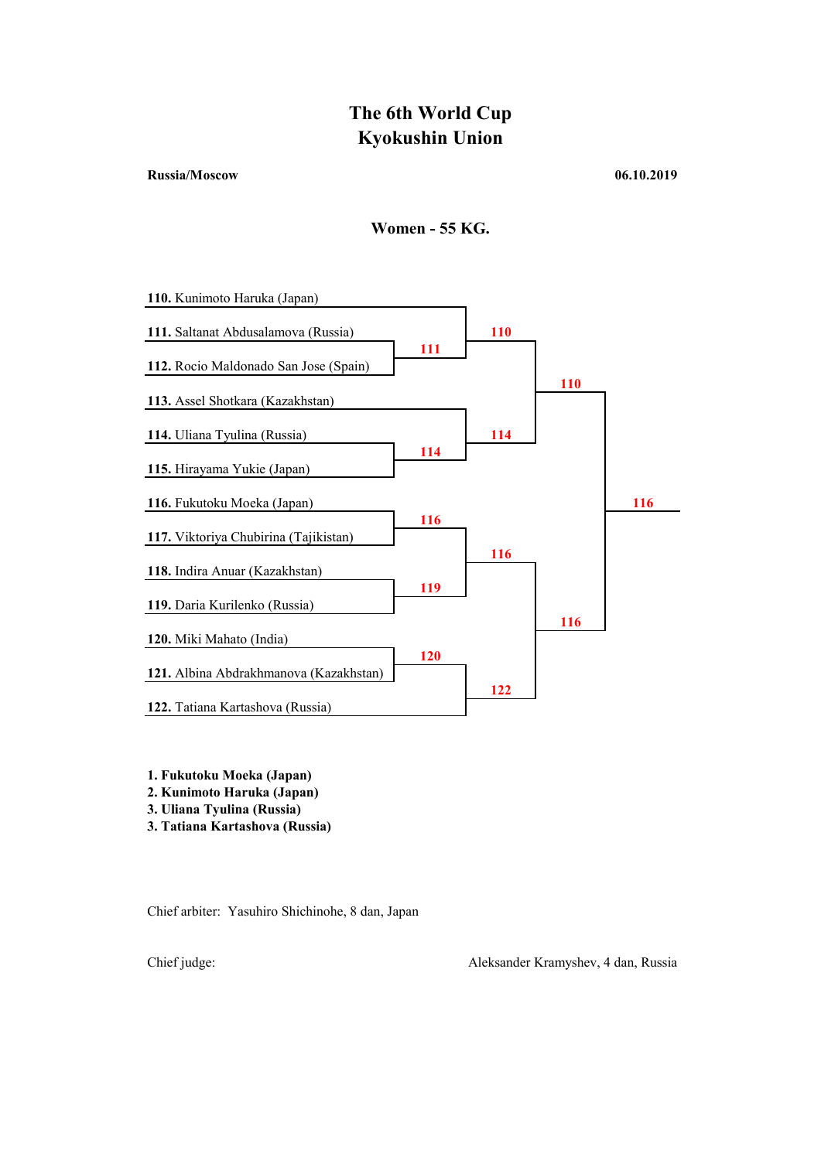### Russia/Moscow 06.10.2019





1. Fukutoku Moeka (Japan)

2. Kunimoto Haruka (Japan)

3. Uliana Tyulina (Russia)

3. Tatiana Kartashova (Russia)

Chief arbiter: Yasuhiro Shichinohe, 8 dan, Japan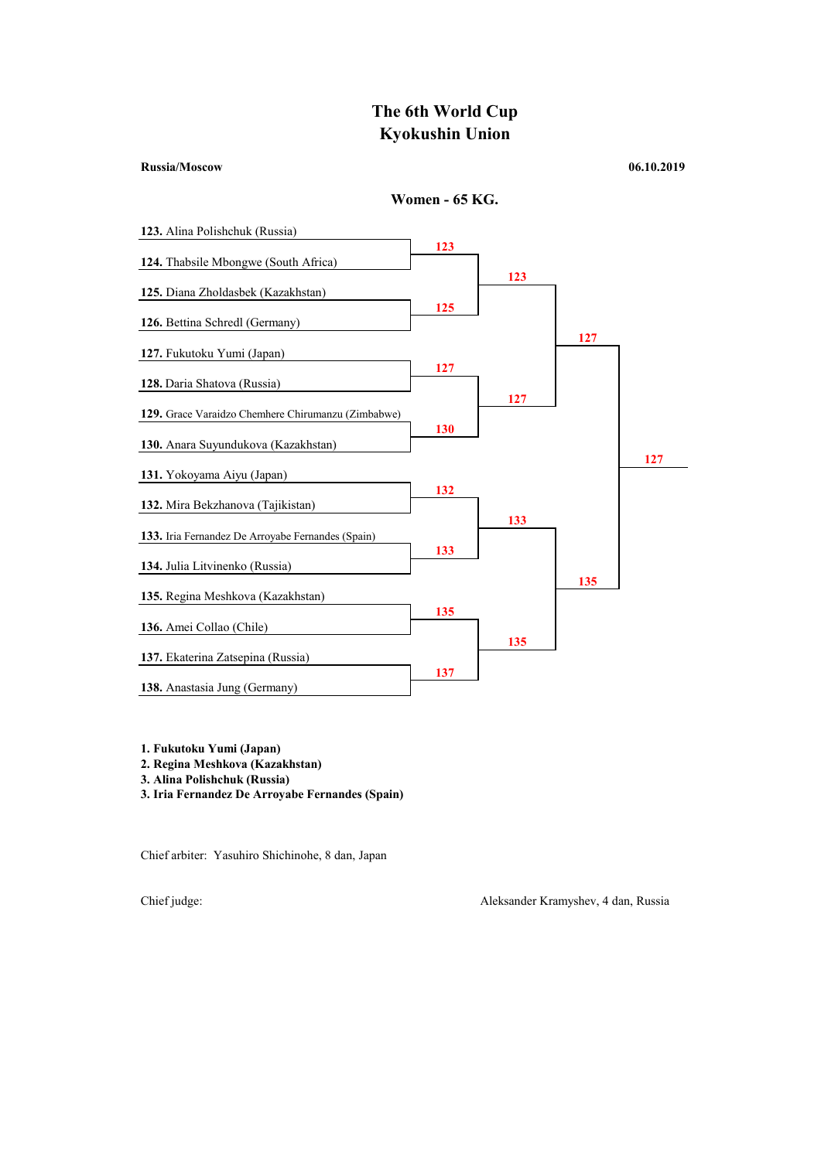#### Russia/Moscow 06.10.2019





- 1. Fukutoku Yumi (Japan)
- 2. Regina Meshkova (Kazakhstan)
- 3. Alina Polishchuk (Russia)
- 3. Iria Fernandez De Arroyabe Fernandes (Spain)

Chief arbiter: Yasuhiro Shichinohe, 8 dan, Japan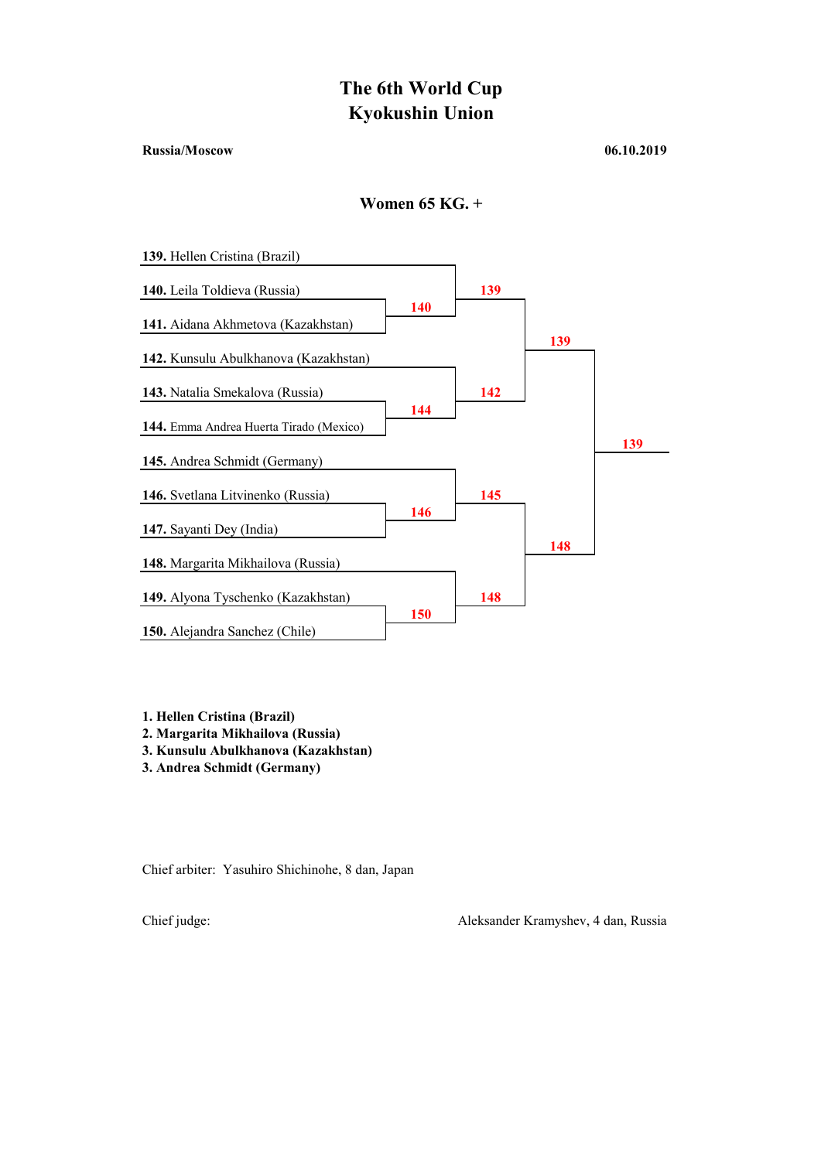#### Russia/Moscow 06.10.2019

Women 65 KG. +



1. Hellen Cristina (Brazil)

2. Margarita Mikhailova (Russia)

3. Kunsulu Abulkhanova (Kazakhstan)

3. Andrea Schmidt (Germany)

Chief arbiter: Yasuhiro Shichinohe, 8 dan, Japan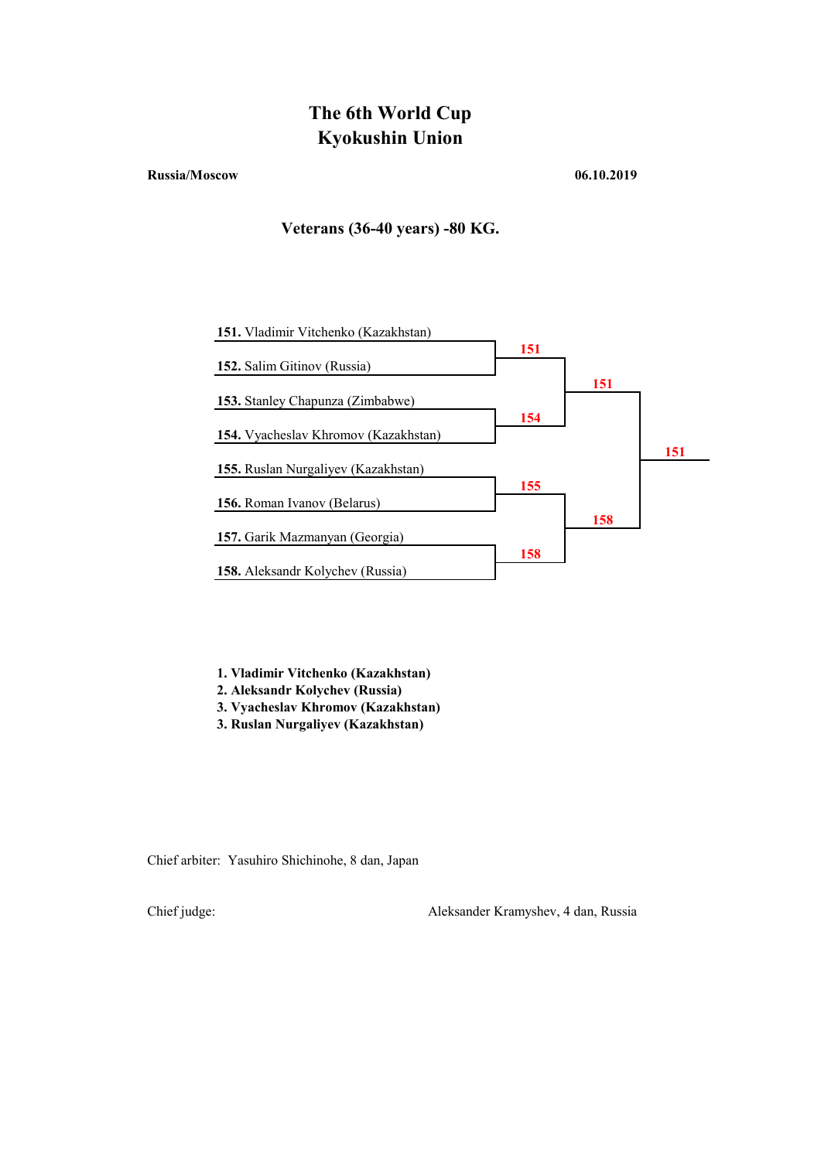#### Russia/Moscow 06.10.2019

## Veterans (36-40 years) -80 KG.



1. Vladimir Vitchenko (Kazakhstan)

2. Aleksandr Kolychev (Russia)

- 3. Vyacheslav Khromov (Kazakhstan)
- 3. Ruslan Nurgaliyev (Kazakhstan)

Chief arbiter: Yasuhiro Shichinohe, 8 dan, Japan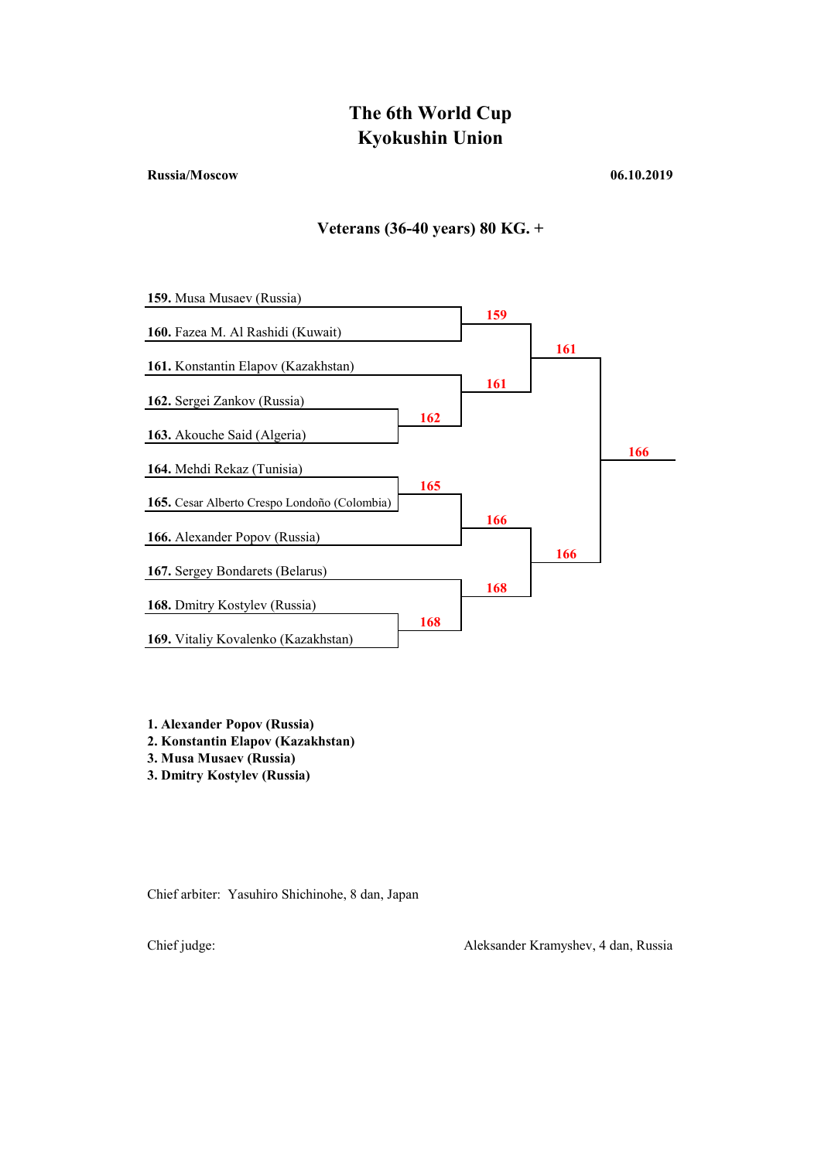### Russia/Moscow 06.10.2019

## Veterans (36-40 years) 80 KG. +



- 1. Alexander Popov (Russia)
- 2. Konstantin Elapov (Kazakhstan)
- 3. Musa Musaev (Russia)
- 3. Dmitry Kostylev (Russia)

Chief arbiter: Yasuhiro Shichinohe, 8 dan, Japan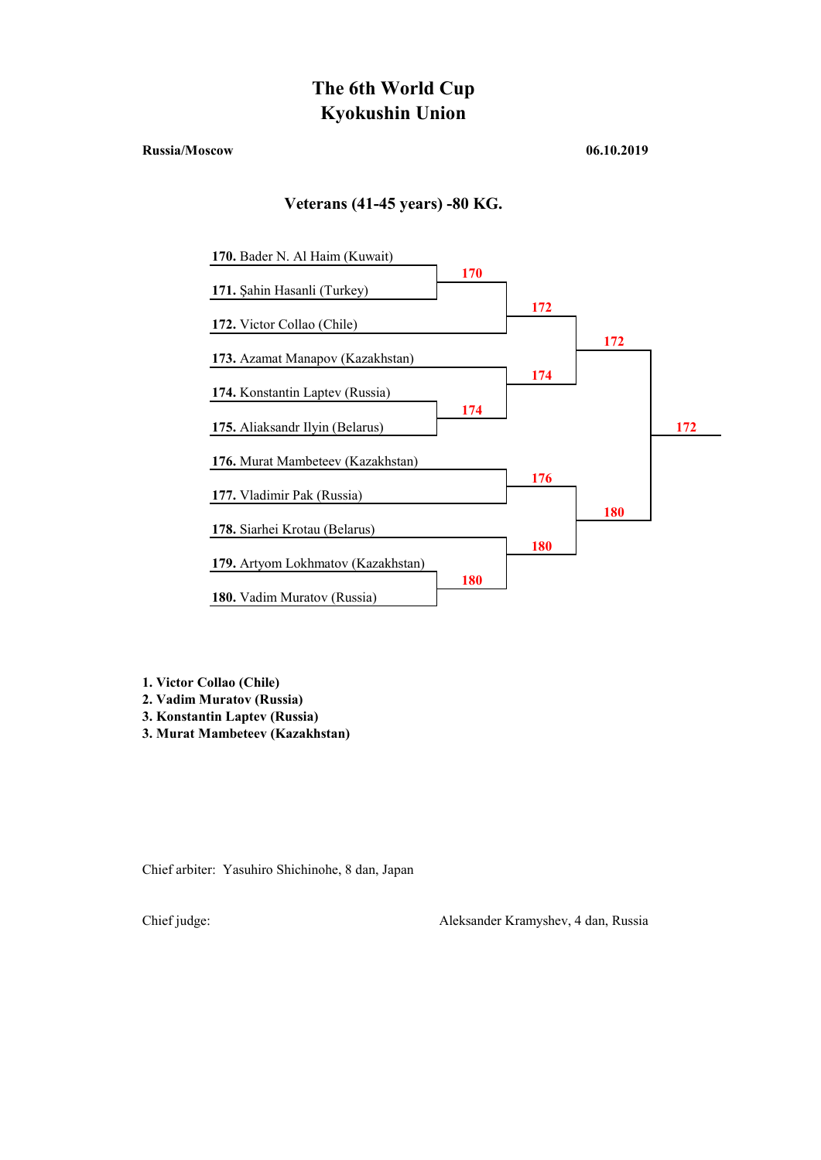#### Russia/Moscow 06.10.2019

### Veterans (41-45 years) -80 KG.



1. Victor Collao (Chile)

- 2. Vadim Muratov (Russia)
- 3. Konstantin Laptev (Russia)
- 3. Murat Mambeteev (Kazakhstan)

Chief arbiter: Yasuhiro Shichinohe, 8 dan, Japan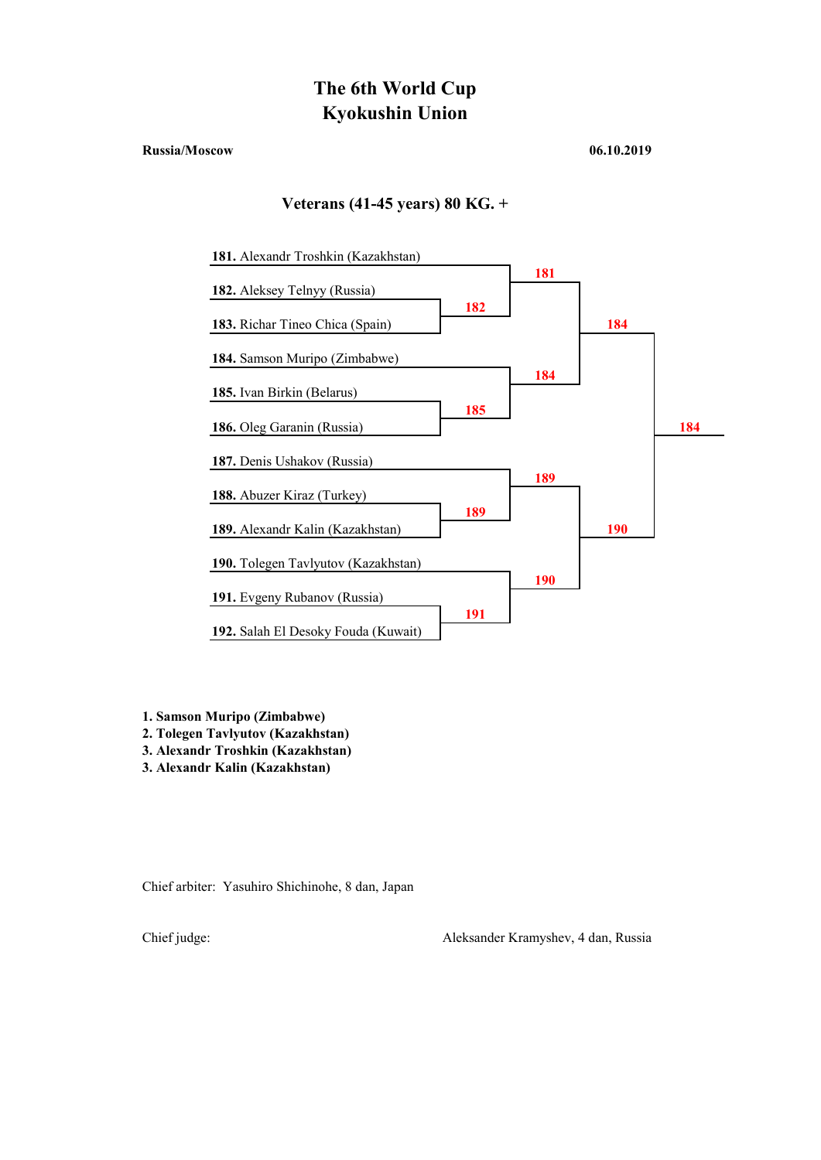#### Russia/Moscow 06.10.2019

### Veterans (41-45 years) 80 KG. +



1. Samson Muripo (Zimbabwe)

2. Tolegen Tavlyutov (Kazakhstan)

3. Alexandr Troshkin (Kazakhstan)

3. Alexandr Kalin (Kazakhstan)

Chief arbiter: Yasuhiro Shichinohe, 8 dan, Japan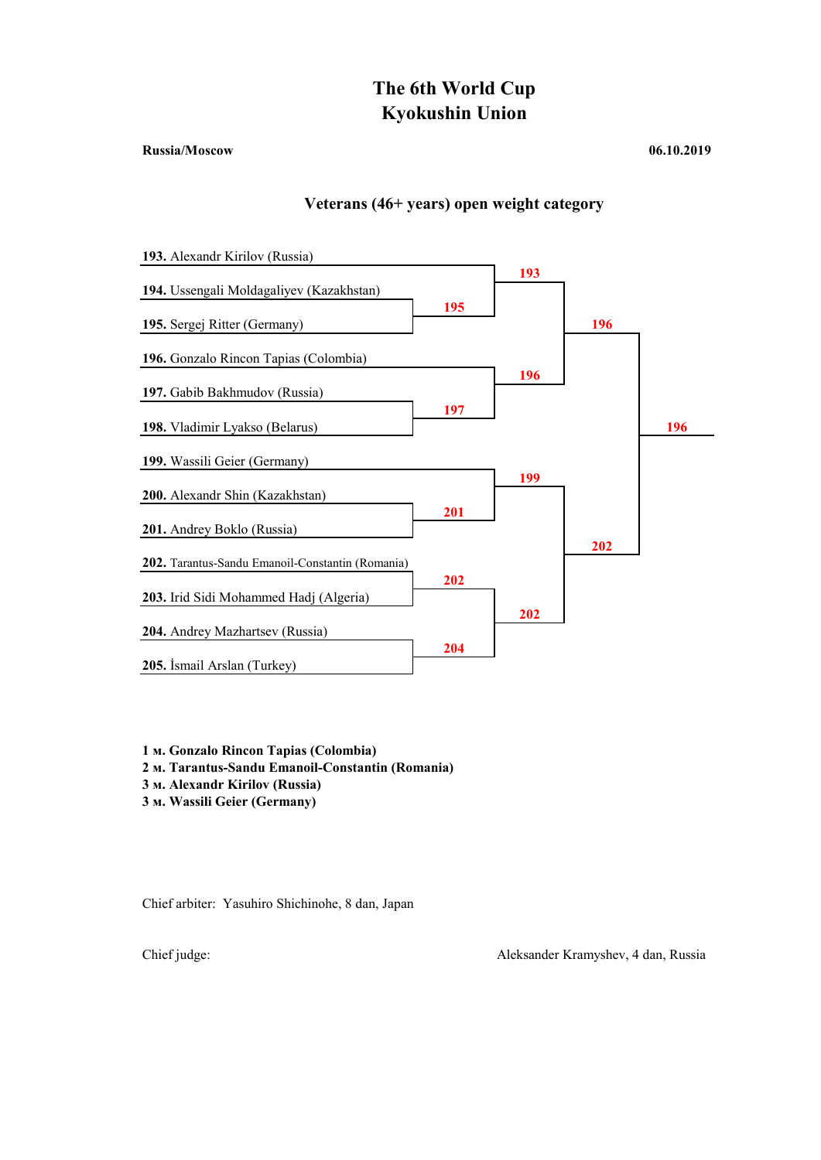#### Russia/Moscow 06.10.2019

## Veterans (46+ years) open weight category



- 1 м. Gonzalo Rincon Tapias (Colombia)
- 2 м. Tarantus-Sandu Emanoil-Constantin (Romania)
- 3 м. Alexandr Kirilov (Russia)
- 3 м. Wassili Geier (Germany)

Chief arbiter: Yasuhiro Shichinohe, 8 dan, Japan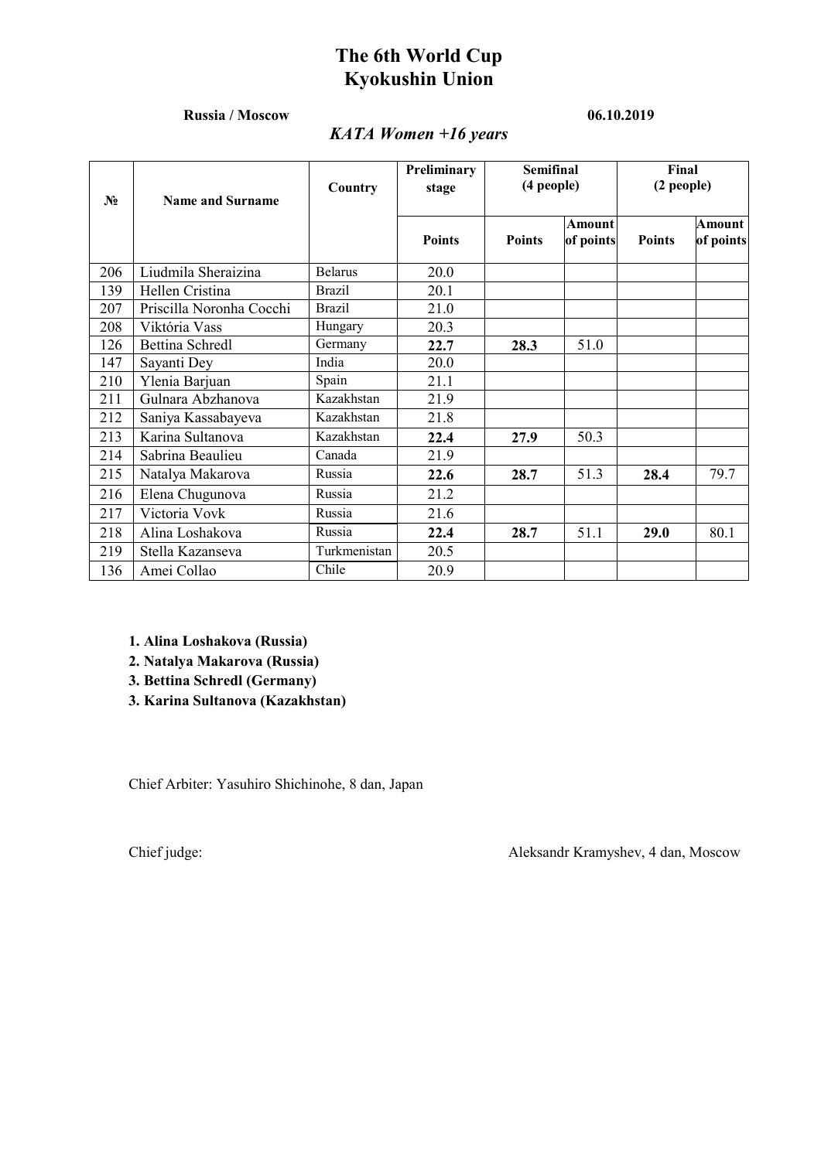## Russia / Moscow 06.10.2019

## *KATA Women +16 years*

| $N_2$ | <b>Name and Surname</b>  | Country        | Preliminary<br>stage | <b>Semifinal</b><br>(4 people) |                     | Final<br>$(2$ people) |                     |
|-------|--------------------------|----------------|----------------------|--------------------------------|---------------------|-----------------------|---------------------|
|       |                          |                | <b>Points</b>        | <b>Points</b>                  | Amount<br>of points | <b>Points</b>         | Amount<br>of points |
| 206   | Liudmila Sheraizina      | <b>Belarus</b> | 20.0                 |                                |                     |                       |                     |
| 139   | Hellen Cristina          | <b>Brazil</b>  | 20.1                 |                                |                     |                       |                     |
| 207   | Priscilla Noronha Cocchi | <b>Brazil</b>  | 21.0                 |                                |                     |                       |                     |
| 208   | Viktória Vass            | Hungary        | 20.3                 |                                |                     |                       |                     |
| 126   | <b>Bettina Schredl</b>   | Germany        | 22.7                 | 28.3                           | 51.0                |                       |                     |
| 147   | Sayanti Dey              | India          | 20.0                 |                                |                     |                       |                     |
| 210   | Ylenia Barjuan           | Spain          | 21.1                 |                                |                     |                       |                     |
| 211   | Gulnara Abzhanova        | Kazakhstan     | 21.9                 |                                |                     |                       |                     |
| 212   | Saniya Kassabayeva       | Kazakhstan     | 21.8                 |                                |                     |                       |                     |
| 213   | Karina Sultanova         | Kazakhstan     | 22.4                 | 27.9                           | 50.3                |                       |                     |
| 214   | Sabrina Beaulieu         | Canada         | 21.9                 |                                |                     |                       |                     |
| 215   | Natalya Makarova         | Russia         | 22.6                 | 28.7                           | 51.3                | 28.4                  | 79.7                |
| 216   | Elena Chugunova          | Russia         | 21.2                 |                                |                     |                       |                     |
| 217   | Victoria Vovk            | Russia         | 21.6                 |                                |                     |                       |                     |
| 218   | Alina Loshakova          | Russia         | 22.4                 | 28.7                           | 51.1                | 29.0                  | 80.1                |
| 219   | Stella Kazanseva         | Turkmenistan   | 20.5                 |                                |                     |                       |                     |
| 136   | Amei Collao              | Chile          | 20.9                 |                                |                     |                       |                     |

1. Alina Loshakova (Russia)

2. Natalya Makarova (Russia)

3. Bettina Schredl (Germany)

3. Karina Sultanova (Kazakhstan)

Сhief Arbiter: Yasuhiro Shichinohe, 8 dan, Japan

Сhief judge: Aleksandr Kramyshev, 4 dan, Moscow